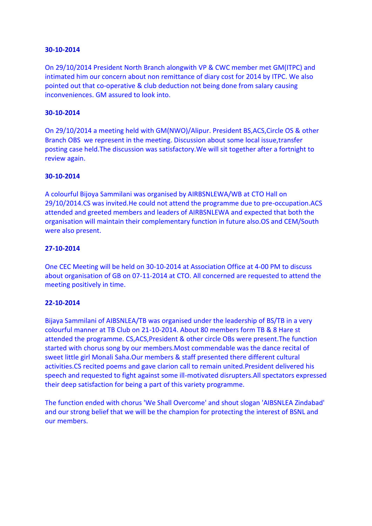#### **30-10-2014**

On 29/10/2014 President North Branch alongwith VP & CWC member met GM(ITPC) and intimated him our concern about non remittance of diary cost for 2014 by ITPC. We also pointed out that co-operative & club deduction not being done from salary causing inconveniences. GM assured to look into.

## **30-10-2014**

On 29/10/2014 a meeting held with GM(NWO)/Alipur. President BS,ACS,Circle OS & other Branch OBS we represent in the meeting. Discussion about some local issue,transfer posting case held.The discussion was satisfactory.We will sit together after a fortnight to review again.

#### **30-10-2014**

A colourful Bijoya Sammilani was organised by AIRBSNLEWA/WB at CTO Hall on 29/10/2014.CS was invited.He could not attend the programme due to pre-occupation.ACS attended and greeted members and leaders of AIRBSNLEWA and expected that both the organisation will maintain their complementary function in future also.OS and CEM/South were also present.

#### **27-10-2014**

One CEC Meeting will be held on 30-10-2014 at Association Office at 4-00 PM to discuss about organisation of GB on 07-11-2014 at CTO. All concerned are requested to attend the meeting positively in time.

### **22-10-2014**

Bijaya Sammilani of AIBSNLEA/TB was organised under the leadership of BS/TB in a very colourful manner at TB Club on 21-10-2014. About 80 members form TB & 8 Hare st attended the programme. CS,ACS,President & other circle OBs were present.The function started with chorus song by our members.Most commendable was the dance recital of sweet little girl Monali Saha.Our members & staff presented there different cultural activities.CS recited poems and gave clarion call to remain united.President delivered his speech and requested to fight against some ill-motivated disrupters.All spectators expressed their deep satisfaction for being a part of this variety programme.

The function ended with chorus 'We Shall Overcome' and shout slogan 'AIBSNLEA Zindabad' and our strong belief that we will be the champion for protecting the interest of BSNL and our members.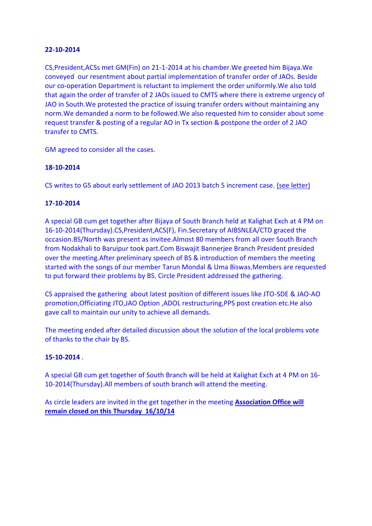### **22-10-2014**

CS,President,ACSs met GM(Fin) on 21-1-2014 at his chamber.We greeted him Bijaya.We conveyed our resentment about partial implementation of transfer order of JAOs. Beside our co-operation Department is reluctant to implement the order uniformly.We also told that again the order of transfer of 2 JAOs issued to CMTS where there is extreme urgency of JAO in South.We protested the practice of issuing transfer orders without maintaining any norm.We demanded a norm to be followed.We also requested him to consider about some request transfer & posting of a regular AO in Tx section & postpone the order of 2 JAO transfer to CMTS.

GM agreed to consider all the cases.

## **18-10-2014**

CS writes to GS about early settlement of JAO 2013 batch 5 increment case. [\(see letter\)](http://aibsnleawb.org/JAO2013.PDF)

## **17-10-2014**

A special GB cum get together after Bijaya of South Branch held at Kalighat Exch at 4 PM on 16-10-2014(Thursday).CS,President,ACS(F), Fin.Secretary of AIBSNLEA/CTD graced the occasion.BS/North was present as invitee.Almost 80 members from all over South Branch from Nodakhali to Baruipur took part.Com Biswajit Bannerjee Branch President presided over the meeting.After preliminary speech of BS & introduction of members the meeting started with the songs of our member Tarun Mondal & Uma Biswas.Members are requested to put forward their problems by BS. Circle President addressed the gathering.

CS appraised the gathering about latest position of different issues like JTO-SDE & JAO-AO promotion,Officiating JTO,JAO Option ,ADOL restructuring,PPS post creation etc.He also gave call to maintain our unity to achieve all demands.

The meeting ended after detailed discussion about the solution of the local problems vote of thanks to the chair by BS.

# **15-10-2014** .

A special GB cum get together of South Branch will be held at Kalighat Exch at 4 PM on 16- 10-2014(Thursday).All members of south branch will attend the meeting.

As circle leaders are invited in the get together in the meeting **Association Office will remain closed on this Thursday 16/10/14**